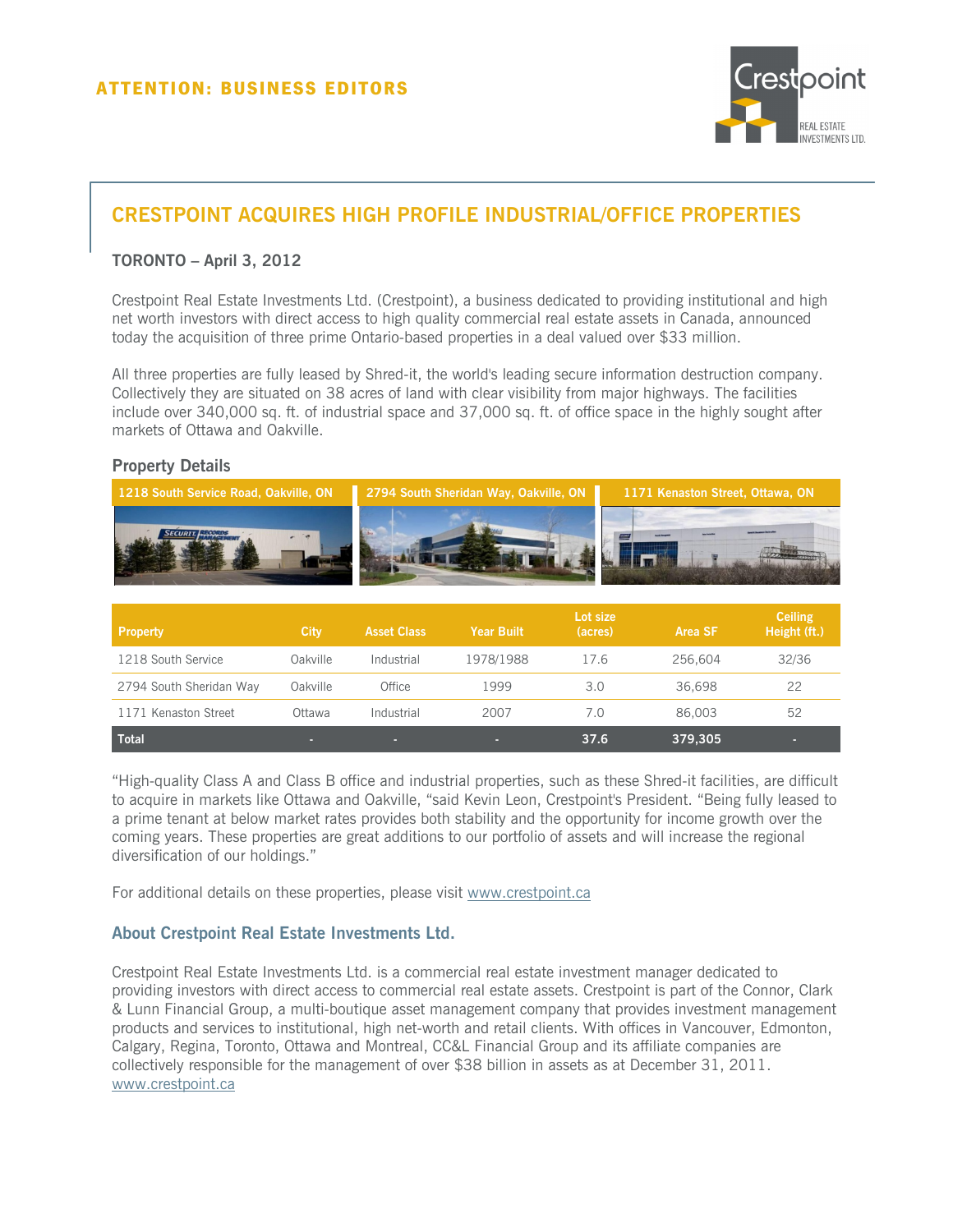

# **CRESTPOINT ACQUIRES HIGH PROFILE INDUSTRIAL/OFFICE PROPERTIES**

### **TORONTO – April 3, 2012**

Crestpoint Real Estate Investments Ltd. (Crestpoint), a business dedicated to providing institutional and high net worth investors with direct access to high quality commercial real estate assets in Canada, announced today the acquisition of three prime Ontario-based properties in a deal valued over \$33 million.

All three properties are fully leased by Shred-it, the world's leading secure information destruction company. Collectively they are situated on 38 acres of land with clear visibility from major highways. The facilities include over 340,000 sq. ft. of industrial space and 37,000 sq. ft. of office space in the highly sought after markets of Ottawa and Oakville.

#### **Property Details**



| <b>Property</b>         | <b>City</b> | <b>Asset Class</b> | <b>Year Built</b> | Lot size<br>(acres) | Area SF | <b>Ceiling</b><br>Height (ft.) |
|-------------------------|-------------|--------------------|-------------------|---------------------|---------|--------------------------------|
| 1218 South Service      | Oakville    | Industrial         | 1978/1988         | 17.6                | 256,604 | 32/36                          |
| 2794 South Sheridan Way | Oakville    | Office             | 1999              | 3.0                 | 36,698  | 22                             |
| 1171 Kenaston Street    | Ottawa      | Industrial         | 2007              | 7.0                 | 86,003  | 52                             |
| <b>Total</b>            | о           |                    |                   | 37.6                | 379,305 |                                |

"High-quality Class A and Class B office and industrial properties, such as these Shred-it facilities, are difficult to acquire in markets like Ottawa and Oakville, "said Kevin Leon, Crestpoint's President. "Being fully leased to a prime tenant at below market rates provides both stability and the opportunity for income growth over the coming years. These properties are great additions to our portfolio of assets and will increase the regional diversification of our holdings."

For additional details on these properties, please visit www.crestpoint.ca

#### **About Crestpoint Real Estate Investments Ltd.**

Crestpoint Real Estate Investments Ltd. is a commercial real estate investment manager dedicated to providing investors with direct access to commercial real estate assets. Crestpoint is part of the Connor, Clark & Lunn Financial Group, a multi-boutique asset management company that provides investment management products and services to institutional, high net-worth and retail clients. With offices in Vancouver, Edmonton, Calgary, Regina, Toronto, Ottawa and Montreal, CC&L Financial Group and its affiliate companies are collectively responsible for the management of over \$38 billion in assets as at December 31, 2011. www.crestpoint.ca